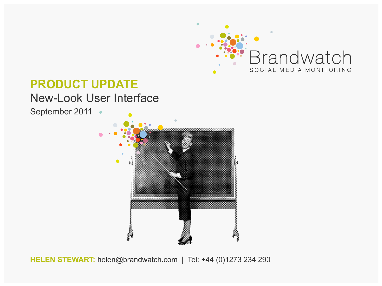

#### **PRODUCT UPDATE**

#### New-Look User Interface

September 2011 ·



**HELEN STEWART:** helen@brandwatch.com | Tel: +44 (0)1273 234 290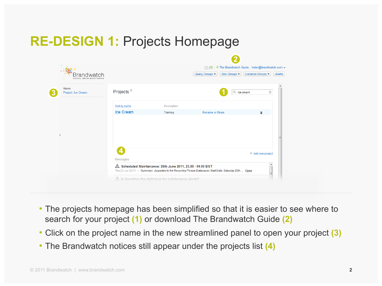## **RE-DESIGN 1:** Projects Homepage



- The projects homepage has been simplified so that it is easier to see where to search for your project **(1)** or download The Brandwatch Guide **(2)**
- Click on the project name in the new streamlined panel to open your project **(3)**
- The Brandwatch notices still appear under the projects list **(4)**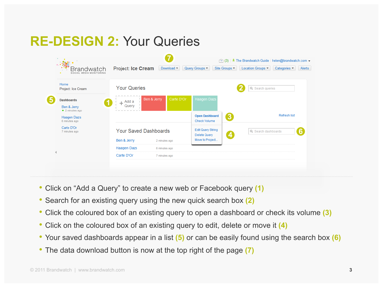## **RE-DESIGN 2:** Your Queries



- Click on "Add a Query" to create a new web or Facebook query **(1)**
- Search for an existing query using the new quick search box **(2)**
- Click the coloured box of an existing query to open a dashboard or check its volume **(3)**
- Click on the coloured box of an existing query to edit, delete or move it **(4)**
- Your saved dashboards appear in a list **(5)** or can be easily found using the search box **(6)**
- The data download button is now at the top right of the page **(7)**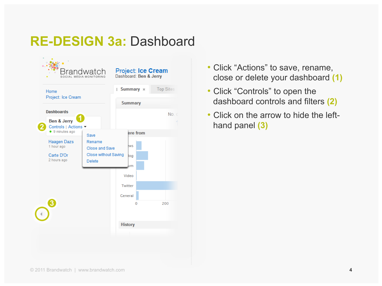#### **RE-DESIGN 3a:** Dashboard



- Click "Actions" to save, rename, close or delete your dashboard **(1)**
- Click "Controls" to open the dashboard controls and filters **(2)**
- Click on the arrow to hide the lefthand panel **(3)**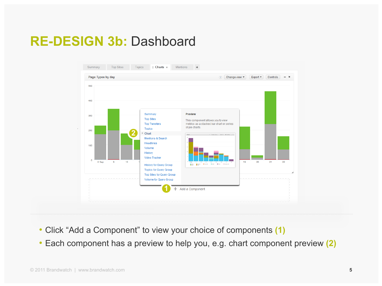#### **RE-DESIGN 3b:** Dashboard



- Click "Add a Component" to view your choice of components **(1)**
- Each component has a preview to help you, e.g. chart component preview **(2)**